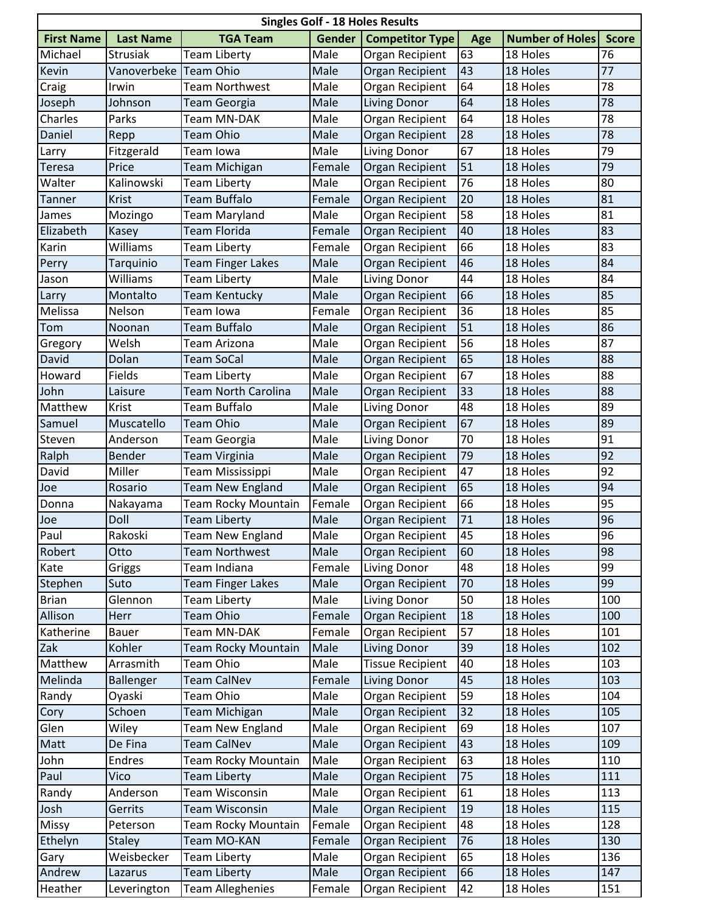| <b>Singles Golf - 18 Holes Results</b> |                       |                            |        |                         |     |                        |              |  |  |  |  |
|----------------------------------------|-----------------------|----------------------------|--------|-------------------------|-----|------------------------|--------------|--|--|--|--|
| <b>First Name</b>                      | <b>Last Name</b>      | <b>TGA Team</b>            | Gender | <b>Competitor Type</b>  | Age | <b>Number of Holes</b> | <b>Score</b> |  |  |  |  |
| Michael                                | <b>Strusiak</b>       | <b>Team Liberty</b>        | Male   | Organ Recipient         | 63  | 18 Holes               | 76           |  |  |  |  |
| Kevin                                  | Vanoverbeke Team Ohio |                            | Male   | Organ Recipient         | 43  | 18 Holes               | 77           |  |  |  |  |
| Craig                                  | Irwin                 | <b>Team Northwest</b>      | Male   | Organ Recipient         | 64  | 18 Holes               | 78           |  |  |  |  |
| Joseph                                 | Johnson               | Team Georgia               | Male   | Living Donor            | 64  | 18 Holes               | 78           |  |  |  |  |
| Charles                                | Parks                 | Team MN-DAK                | Male   | Organ Recipient         | 64  | 18 Holes               | 78           |  |  |  |  |
| Daniel                                 | Repp                  | <b>Team Ohio</b>           | Male   | Organ Recipient         | 28  | 18 Holes               | 78           |  |  |  |  |
| Larry                                  | Fitzgerald            | Team Iowa                  | Male   | Living Donor            | 67  | 18 Holes               | 79           |  |  |  |  |
| <b>Teresa</b>                          | Price                 | Team Michigan              | Female | Organ Recipient         | 51  | 18 Holes               | 79           |  |  |  |  |
| Walter                                 | Kalinowski            | <b>Team Liberty</b>        | Male   | Organ Recipient         | 76  | 18 Holes               | 80           |  |  |  |  |
| Tanner                                 | Krist                 | Team Buffalo               | Female | Organ Recipient         | 20  | 18 Holes               | 81           |  |  |  |  |
| James                                  | Mozingo               | Team Maryland              | Male   | Organ Recipient         | 58  | 18 Holes               | 81           |  |  |  |  |
| Elizabeth                              | Kasey                 | Team Florida               | Female | Organ Recipient         | 40  | 18 Holes               | 83           |  |  |  |  |
| Karin                                  | Williams              | <b>Team Liberty</b>        | Female | Organ Recipient         | 66  | 18 Holes               | 83           |  |  |  |  |
| Perry                                  | Tarquinio             | <b>Team Finger Lakes</b>   | Male   | Organ Recipient         | 46  | 18 Holes               | 84           |  |  |  |  |
| Jason                                  | Williams              | <b>Team Liberty</b>        | Male   | Living Donor            | 44  | 18 Holes               | 84           |  |  |  |  |
| Larry                                  | Montalto              | Team Kentucky              | Male   | Organ Recipient         | 66  | 18 Holes               | 85           |  |  |  |  |
| Melissa                                | Nelson                | Team Iowa                  | Female | Organ Recipient         | 36  | 18 Holes               | 85           |  |  |  |  |
| Tom                                    | Noonan                | <b>Team Buffalo</b>        | Male   | Organ Recipient         | 51  | 18 Holes               | 86           |  |  |  |  |
| Gregory                                | Welsh                 | Team Arizona               | Male   | Organ Recipient         | 56  | 18 Holes               | 87           |  |  |  |  |
| David                                  | Dolan                 | <b>Team SoCal</b>          | Male   | Organ Recipient         | 65  | 18 Holes               | 88           |  |  |  |  |
| Howard                                 | Fields                | <b>Team Liberty</b>        | Male   | Organ Recipient         | 67  | 18 Holes               | 88           |  |  |  |  |
| John                                   | Laisure               | <b>Team North Carolina</b> | Male   | Organ Recipient         | 33  | 18 Holes               | 88           |  |  |  |  |
| Matthew                                | Krist                 | Team Buffalo               | Male   | Living Donor            | 48  | 18 Holes               | 89           |  |  |  |  |
| Samuel                                 | Muscatello            | <b>Team Ohio</b>           | Male   | Organ Recipient         | 67  | 18 Holes               | 89           |  |  |  |  |
| Steven                                 | Anderson              | <b>Team Georgia</b>        | Male   | Living Donor            | 70  | 18 Holes               | 91           |  |  |  |  |
| Ralph                                  | Bender                | Team Virginia              | Male   | Organ Recipient         | 79  | 18 Holes               | 92           |  |  |  |  |
| David                                  | Miller                | Team Mississippi           | Male   | Organ Recipient         | 47  | 18 Holes               | 92           |  |  |  |  |
| Joe                                    | Rosario               | <b>Team New England</b>    | Male   | Organ Recipient         | 65  | 18 Holes               | 94           |  |  |  |  |
| Donna                                  | Nakayama              | <b>Team Rocky Mountain</b> | Female | Organ Recipient         | 66  | 18 Holes               | 95           |  |  |  |  |
| Joe                                    | Doll                  | <b>Team Liberty</b>        | Male   | Organ Recipient         | 71  | 18 Holes               | 96           |  |  |  |  |
| Paul                                   | Rakoski               | <b>Team New England</b>    | Male   | Organ Recipient         | 45  | 18 Holes               | 96           |  |  |  |  |
| Robert                                 | Otto                  | <b>Team Northwest</b>      | Male   | Organ Recipient         | 60  | 18 Holes               | 98           |  |  |  |  |
| Kate                                   | Griggs                | Team Indiana               | Female | Living Donor            | 48  | 18 Holes               | 99           |  |  |  |  |
| Stephen                                | Suto                  | <b>Team Finger Lakes</b>   | Male   | Organ Recipient         | 70  | 18 Holes               | 99           |  |  |  |  |
| <b>Brian</b>                           | Glennon               | Team Liberty               | Male   | Living Donor            | 50  | 18 Holes               | 100          |  |  |  |  |
| Allison                                | Herr                  | <b>Team Ohio</b>           | Female | Organ Recipient         | 18  | 18 Holes               | 100          |  |  |  |  |
| Katherine                              | <b>Bauer</b>          | Team MN-DAK                | Female | Organ Recipient         | 57  | 18 Holes               | 101          |  |  |  |  |
| Zak                                    | Kohler                | Team Rocky Mountain        | Male   | <b>Living Donor</b>     | 39  | 18 Holes               | 102          |  |  |  |  |
| Matthew                                | Arrasmith             | <b>Team Ohio</b>           | Male   | <b>Tissue Recipient</b> | 40  | 18 Holes               | 103          |  |  |  |  |
| Melinda                                | Ballenger             | <b>Team CalNev</b>         | Female | Living Donor            | 45  | 18 Holes               | 103          |  |  |  |  |
| Randy                                  | Oyaski                | Team Ohio                  | Male   | Organ Recipient         | 59  | 18 Holes               | 104          |  |  |  |  |
| Cory                                   | Schoen                | <b>Team Michigan</b>       | Male   | Organ Recipient         | 32  | 18 Holes               | 105          |  |  |  |  |
| Glen                                   | Wiley                 | Team New England           | Male   | Organ Recipient         | 69  | 18 Holes               | 107          |  |  |  |  |
| Matt                                   | De Fina               | <b>Team CalNev</b>         | Male   | Organ Recipient         | 43  | 18 Holes               | 109          |  |  |  |  |
| John                                   | <b>Endres</b>         | Team Rocky Mountain        | Male   | Organ Recipient         | 63  | 18 Holes               | 110          |  |  |  |  |
| Paul                                   | Vico                  | <b>Team Liberty</b>        | Male   | Organ Recipient         | 75  | 18 Holes               | 111          |  |  |  |  |
| Randy                                  | Anderson              | Team Wisconsin             | Male   | Organ Recipient         | 61  | 18 Holes               | 113          |  |  |  |  |
| Josh                                   | Gerrits               | Team Wisconsin             | Male   | Organ Recipient         | 19  | 18 Holes               | 115          |  |  |  |  |
| <b>Missy</b>                           | Peterson              | <b>Team Rocky Mountain</b> | Female | Organ Recipient         | 48  | 18 Holes               | 128          |  |  |  |  |
| Ethelyn                                | <b>Staley</b>         | Team MO-KAN                | Female | Organ Recipient         | 76  | 18 Holes               | 130          |  |  |  |  |
| Gary                                   | Weisbecker            | <b>Team Liberty</b>        | Male   | Organ Recipient         | 65  | 18 Holes               | 136          |  |  |  |  |
| Andrew                                 | Lazarus               | <b>Team Liberty</b>        | Male   | Organ Recipient         | 66  | 18 Holes               | 147          |  |  |  |  |
| Heather                                | Leverington           | <b>Team Alleghenies</b>    | Female | Organ Recipient         | 42  | 18 Holes               | 151          |  |  |  |  |